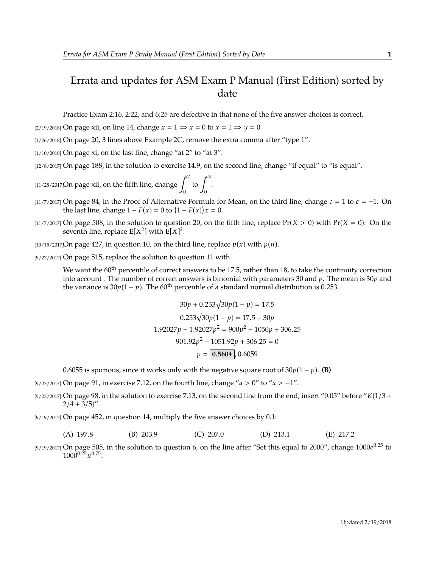## Errata and updates for ASM Exam P Manual (First Edition) sorted by date

Practice Exam 2:16, 2:22, and 6:25 are defective in that none of the five answer choices is correct.

[2/19/2018] On page xii, on line 14, change  $x = 1 \Rightarrow x = 0$  to  $x = 1 \Rightarrow y = 0$ .

[1/26/2018] On page 20, 3 lines above Example 2C, remove the extra comma after "type 1".

- [1/10/2018] On page xi, on the last line, change "at 2" to "at 3".
- [12/8/2017] On page 188, in the solution to exercise 14.9, on the second line, change "if equal" to "is equal".
- [11/28/2017]On page xii, on the fifth line, change  $\int^2$  $\boldsymbol{0}$ to  $\int^3$  $\boldsymbol{0}$ .
- [11/7/2017] On page 84, in the Proof of Alternative Formula for Mean, on the third line, change  $c = 1$  to  $c = -1$ . On the last line, change  $1 - F(x) = 0$  to  $(1 - F(x))x = 0$ .
- $[11/7/2017]$  On page 508, in the solution to question 20, on the fifth line, replace  $Pr(X > 0)$  with  $Pr(X = 0)$ . On the seventh line, replace  $E[X^2]$  with  $E[X]^2$ .
- [10/15/2017]On page 427, in question 10, on the third line, replace  $p(x)$  with  $p(n)$ .
- [9/27/2017] On page 515, replace the solution to question 11 with

We want the  $60^{th}$  percentile of correct answers to be 17.5, rather than 18, to take the continuity correction into account . The number of correct answers is binomial with parameters 30 and *p*. The mean is 30*p* and the variance is  $30p(1 - p)$ . The 60<sup>th</sup> percentile of a standard normal distribution is 0.253.

$$
30p + 0.253\sqrt{30p(1-p)} = 17.5
$$
  

$$
0.253\sqrt{30p(1-p)} = 17.5 - 30p
$$
  

$$
1.92027p - 1.92027p^{2} = 900p^{2} - 1050p + 306.25
$$
  

$$
901.92p^{2} - 1051.92p + 306.25 = 0
$$
  

$$
p = 0.5604, 0.6059
$$

0.6055 is spurious, since it works only with the negative square root of  $30p(1 - p)$ . **(B)** 

[9/23/2017] On page 91, in exercise 7.12, on the fourth line, change "*a* > 0" to "*a* > −1".

 $[9/23/2017]$  On page 98, in the solution to exercise 7.13, on the second line from the end, insert "0.05" before " $K(1/3 +$  $2/4 + 3/5$ ".

[9/19/2017] On page 452, in question 14, multiply the five answer choices by 0.1:

(A) 197.8 (B) 203.9 (C) 207.0 (D) 213.1 (E) 217.2

[9/19/2017] On page 505, in the solution to question 6, on the line after "Set this equal to 2000", change 1000*e* <sup>0</sup>.<sup>25</sup> to  $1000^{0.25}u^{0.75}$ .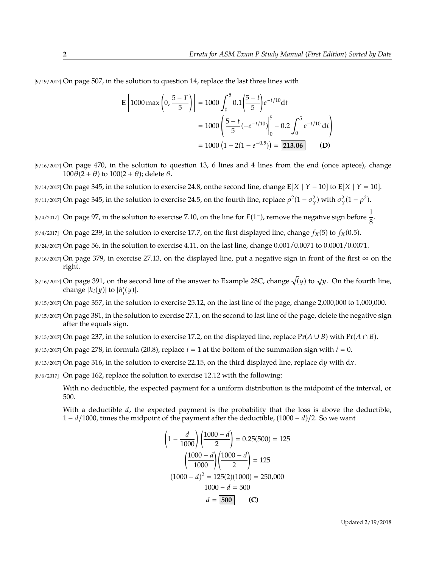[9/19/2017] On page 507, in the solution to question 14, replace the last three lines with

$$
\mathbf{E}\left[1000\max\left(0, \frac{5-T}{5}\right)\right] = 1000 \int_0^5 0.1\left(\frac{5-t}{5}\right) e^{-t/10} dt
$$

$$
= 1000 \left(\frac{5-t}{5}(-e^{-t/10})\Big|_0^5 - 0.2 \int_0^5 e^{-t/10} dt\right)
$$

$$
= 1000 \left(1 - 2(1 - e^{-0.5})\right) = 213.06 \tag{D}
$$

- [9/16/2017] On page 470, in the solution to question 13, 6 lines and 4 lines from the end (once apiece), change  $100\theta(2 + \theta)$  to  $100(2 + \theta)$ ; delete  $\theta$ .
- [9/14/2017] On page 345, in the solution to exercise 24.8, onthe second line, change **E**[*X* | *Y* − 10] to **E**[*X* | *Y* 10].
- <sup>[9/11/2017] On page 345, in the solution to exercise 24.5, on the fourth line, replace  $\rho^2(1-\sigma_Y^2)$  with  $\sigma_Y^2(1-\rho^2)$ .</sup>
- [9/4/2017] On page 97, in the solution to exercise 7.10, on the line for  $F(1^-)$ , remove the negative sign before  $\frac{1}{8}$ .
- [9/4/2017] On page 239, in the solution to exercise 17.7, on the first displayed line, change  $f_X(5)$  to  $f_X(0.5)$ .
- [8/24/2017] On page 56, in the solution to exercise 4.11, on the last line, change 0.001/0.0071 to 0.0001/0.0071.
- $[8/16/2017]$  On page 379, in exercise 27.13, on the displayed line, put a negative sign in front of the first  $\infty$  on the right.
- $_{[8/16/2017]}$  On page 391, on the second line of the answer to Example 28C, change  $\sqrt(y)$  to  $\sqrt{y}$ . On the fourth line, change  $|h_i(y)|$  to  $|h'_i$  $\prime_i'(y)$ .
- [8/15/2017] On page 357, in the solution to exercise 25.12, on the last line of the page, change 2,000,000 to 1,000,000.
- [8/15/2017] On page 381, in the solution to exercise 27.1, on the second to last line of the page, delete the negative sign after the equals sign.
- [8/13/2017] On page 237, in the solution to exercise 17.2, on the displayed line, replace  $Pr(A \cup B)$  with  $Pr(A \cap B)$ .
- $[8/13/2017]$  On page 278, in formula (20.8), replace  $i = 1$  at the bottom of the summation sign with  $i = 0$ .
- [8/13/2017] On page 316, in the solution to exercise 22.15, on the third displayed line, replace d*y* with d*x*.
- [8/6/2017] On page 162, replace the solution to exercise 12.12 with the following:

With no deductible, the expected payment for a uniform distribution is the midpoint of the interval, or 500.

With a deductible *d*, the expected payment is the probability that the loss is above the deductible, 1 − *d*/1000, times the midpoint of the payment after the deductible, (1000 − *d*)/2. So we want

$$
\left(1 - \frac{d}{1000}\right)\left(\frac{1000 - d}{2}\right) = 0.25(500) = 125
$$

$$
\left(\frac{1000 - d}{1000}\right)\left(\frac{1000 - d}{2}\right) = 125
$$

$$
(1000 - d)^2 = 125(2)(1000) = 250,000
$$

$$
1000 - d = 500
$$

$$
d = 500
$$
 (C)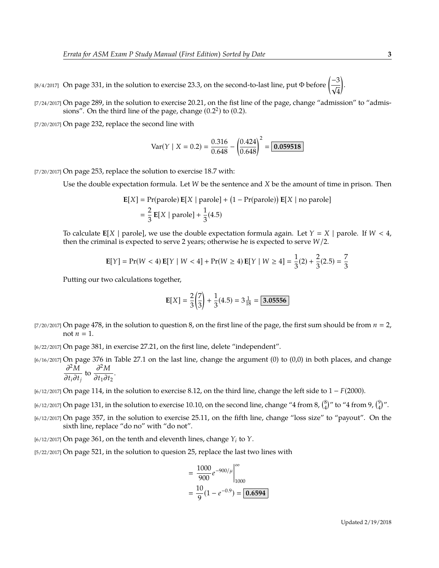[8/4/2017] On page 331, in the solution to exercise 23.3, on the second-to-last line, put Φ before  $\left( \frac{-3}{\sqrt{2}} \right)$ 4

[7/24/2017] On page 289, in the solution to exercise 20.21, on the fist line of the page, change "admission" to "admissions". On the third line of the page, change  $(0.2<sup>2</sup>)$  to  $(0.2)$ .

[7/20/2017] On page 232, replace the second line with

$$
\text{Var}(Y \mid X = 0.2) = \frac{0.316}{0.648} - \left(\frac{0.424}{0.648}\right)^2 = \boxed{0.059518}
$$

[7/20/2017] On page 253, replace the solution to exercise 18.7 with:

Use the double expectation formula. Let *W* be the sentence and *X* be the amount of time in prison. Then

$$
\mathbf{E}[X] = \text{Pr}(\text{parole}) \mathbf{E}[X \mid \text{parole}] + (1 - \text{Pr}(\text{parole})) \mathbf{E}[X \mid \text{no parole}]
$$

$$
= \frac{2}{3} \mathbf{E}[X \mid \text{parole}] + \frac{1}{3}(4.5)
$$

To calculate  $E[X | \text{parole}]$ , we use the double expectation formula again. Let  $Y = X | \text{parole}$ . If  $W < 4$ , then the criminal is expected to serve 2 years; otherwise he is expected to serve *W*/2.

$$
\mathbf{E}[Y] = \Pr(W < 4) \mathbf{E}[Y \mid W < 4] + \Pr(W \ge 4) \mathbf{E}[Y \mid W \ge 4] = \frac{1}{3}(2) + \frac{2}{3}(2.5) = \frac{7}{3}
$$

Putting our two calculations together,

$$
E[X] = \frac{2}{3} \left( \frac{7}{3} \right) + \frac{1}{3} (4.5) = 3 \frac{1}{18} = 3.05556
$$

 $[7/20/2017]$  On page 478, in the solution to question 8, on the first line of the page, the first sum should be from  $n = 2$ , not  $n = 1$ .

[6/22/2017] On page 381, in exercise 27.21, on the first line, delete "independent".

[6/16/2017] On page 376 in Table 27.1 on the last line, change the argument (0) to (0,0) in both places, and change ∂ <sup>2</sup>*M* .

$$
\frac{\partial^2 M}{\partial t_i \partial t_j}
$$
 to 
$$
\frac{\partial^2 M}{\partial t_1 \partial t_2}
$$

- [6/12/2017] On page 114, in the solution to exercise 8.12, on the third line, change the left side to 1 − *F*(2000).
- [6/12/2017] On page 131, in the solution to exercise 10.10, on the second line, change "4 from 8,  $\binom{8}{4}$ " to "4 from 9,  $\binom{9}{4}$ ".
- [6/12/2017] On page 357, in the solution to exercise 25.11, on the fifth line, change "loss size" to "payout". On the sixth line, replace "do no" with "do not".
- [6/12/2017] On page 361, on the tenth and eleventh lines, change *Y<sup>i</sup>* to *Y*.
- [5/22/2017] On page 521, in the solution to quesion 25, replace the last two lines with

$$
= \frac{1000}{900} e^{-900/\mu} \Big|_{1000}^{\infty}
$$

$$
= \frac{10}{9} (1 - e^{-0.9}) = \boxed{0.6594}
$$

.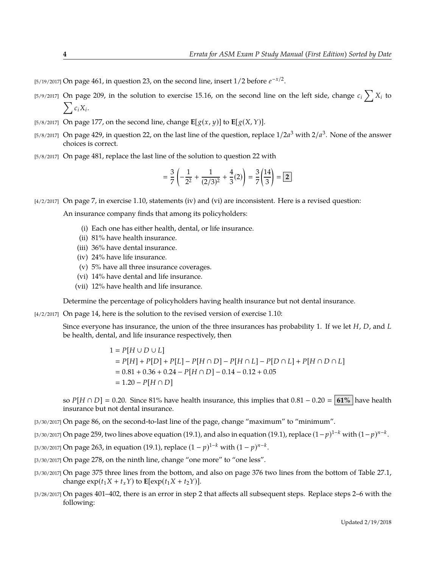[5/19/2017] On page 461, in question 23, on the second line, insert 1/2 before  $e^{-x/2}$ .

- [5/9/2017] On page 209, in the solution to exercise 15.16, on the second line on the left side, change  $c_i \sum_i X_i$  to  $\sum c_i X_i$ .
- [5/8/2017] On page 177, on the second line, change  $E[g(x, y)]$  to  $E[g(X, Y)]$ .
- [5/8/2017] On page 429, in question 22, on the last line of the question, replace  $1/2a^3$  with  $2/a^3$ . None of the answer choices is correct.
- [5/8/2017] On page 481, replace the last line of the solution to question 22 with

$$
= \frac{3}{7}\left(-\frac{1}{2^2} + \frac{1}{(2/3)^2} + \frac{4}{3}(2)\right) = \frac{3}{7}\left(\frac{14}{3}\right) = \boxed{2}
$$

[4/2/2017] On page 7, in exercise 1.10, statements (iv) and (vi) are inconsistent. Here is a revised question:

An insurance company finds that among its policyholders:

- (i) Each one has either health, dental, or life insurance.
- (ii) 81% have health insurance.
- (iii) 36% have dental insurance.
- (iv) 24% have life insurance.
- (v) 5% have all three insurance coverages.
- (vi) 14% have dental and life insurance.
- (vii) 12% have health and life insurance.

Determine the percentage of policyholders having health insurance but not dental insurance.

[4/2/2017] On page 14, here is the solution to the revised version of exercise 1.10:

Since everyone has insurance, the union of the three insurances has probability 1. If we let *H*, *D*, and *L* be health, dental, and life insurance respectively, then

> $1 = P[H \cup D \cup L]$  *P*[*H*] + *P*[*D*] + *P*[*L*] − *P*[*H* ∩ *D*] − *P*[*H* ∩ *L*] − *P*[*D* ∩ *L*] + *P*[*H* ∩ *D* ∩ *L*]  $= 0.81 + 0.36 + 0.24 - P[H \cap D] - 0.14 - 0.12 + 0.05$  $= 1.20 - P[H \cap D]$

so  $P[H \cap D] = 0.20$ . Since 81% have health insurance, this implies that  $0.81 - 0.20 = 61\%$  have health insurance but not dental insurance.

[3/30/2017] On page 86, on the second-to-last line of the page, change "maximum" to "minimum".

[3/30/2017] On page 259, two lines above equation (19.1), and also in equation (19.1), replace (1−*p*) <sup>1</sup>−*<sup>k</sup>* with (1−*p*) *n*−*k* .

[3/30/2017] On page 263, in equation (19.1), replace  $(1 - p)^{1-k}$  with  $(1 - p)^{n-k}$ .

- [3/30/2017] On page 278, on the ninth line, change "one more" to "one less".
- [3/30/2017] On page 375 three lines from the bottom, and also on page 376 two lines from the bottom of Table 27.1, change  $\exp(t_1 X + t_x Y)$  to  $\mathbf{E}[\exp(t_1 X + t_2 Y)].$
- [3/28/2017] On pages 401–402, there is an error in step 2 that affects all subsequent steps. Replace steps 2–6 with the following: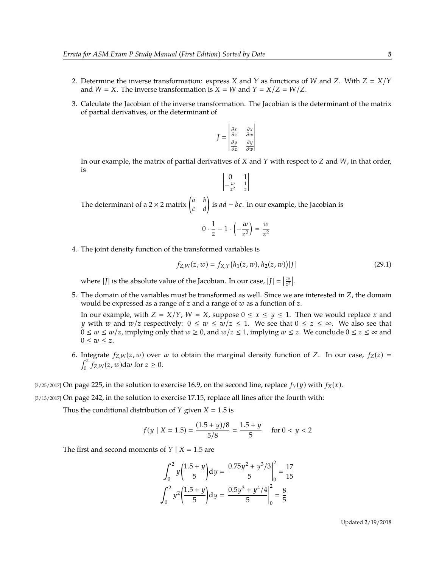- 2. Determine the inverse transformation: express *X* and *Y* as functions of *W* and *Z*. With  $Z = X/Y$ and  $W = X$ . The inverse transformation is  $X = W$  and  $Y = X/Z = W/Z$ .
- 3. Calculate the Jacobian of the inverse transformation. The Jacobian is the determinant of the matrix of partial derivatives, or the determinant of

$$
J = \begin{vmatrix} \frac{\partial x}{\partial z} & \frac{\partial x}{\partial w} \\ \frac{\partial y}{\partial z} & \frac{\partial y}{\partial w} \end{vmatrix}
$$

 $\overline{\phantom{a}}$ I I I I  $\overline{\phantom{a}}$ 

In our example, the matrix of partial derivatives of *X* and *Y* with respect to *Z* and *W*, in that order, is

$$
\begin{vmatrix} 0 & 1 \\ -\frac{w}{z^2} & \frac{1}{z} \end{vmatrix}
$$

The determinant of a 2 × 2 matrix  $\begin{pmatrix} a & b \\ c & d \end{pmatrix}$  is  $ad - bc$ . In our example, the Jacobian is

$$
0 \cdot \frac{1}{z} - 1 \cdot \left(-\frac{w}{z^2}\right) = \frac{w}{z^2}
$$

4. The joint density function of the transformed variables is

$$
f_{Z,W}(z, w) = f_{X,Y}(h_1(z, w), h_2(z, w))|J|
$$
\n(29.1)

where  $|J|$  is the absolute value of the Jacobian. In our case,  $|J| = \left|\frac{w}{z^2}\right|$ .

5. The domain of the variables must be transformed as well. Since we are interested in *Z*, the domain would be expressed as a range of *z* and a range of *w* as a function of *z*.

In our example, with  $Z = X/Y$ ,  $W = X$ , suppose  $0 \le x \le y \le 1$ . Then we would replace *x* and *y* with *w* and *w*/*z* respectively:  $0 \le w \le w/z \le 1$ . We see that  $0 \le z \le \infty$ . We also see that  $0 \le w \le w/z$ , implying only that  $w \ge 0$ , and  $w/z \le 1$ , implying  $w \le z$ . We conclude  $0 \le z \le \infty$  and  $0 \leq w \leq z$ .

6. Integrate  $f_{Z,W}(z, w)$  over *w* to obtain the marginal density function of *Z*. In our case,  $f_Z(z)$  =  $\int_0^z f_{Z,W}(z,w)dw$  for  $z \ge 0$ .

 $[3/25/2017]$  On page 225, in the solution to exercise 16.9, on the second line, replace  $f_Y(y)$  with  $f_X(x)$ .

[3/13/2017] On page 242, in the solution to exercise 17.15, replace all lines after the fourth with:

Thus the conditional distribution of  $Y$  given  $X = 1.5$  is

$$
f(y \mid X = 1.5) = \frac{(1.5 + y)/8}{5/8} = \frac{1.5 + y}{5} \quad \text{for } 0 < y < 2
$$

The first and second moments of  $Y \mid X = 1.5$  are

$$
\int_0^2 y \left(\frac{1.5 + y}{5}\right) dy = \frac{0.75y^2 + y^3/3}{5} \bigg|_0^2 = \frac{17}{15}
$$

$$
\int_0^2 y^2 \left(\frac{1.5 + y}{5}\right) dy = \frac{0.5y^3 + y^4/4}{5} \bigg|_0^2 = \frac{8}{5}
$$